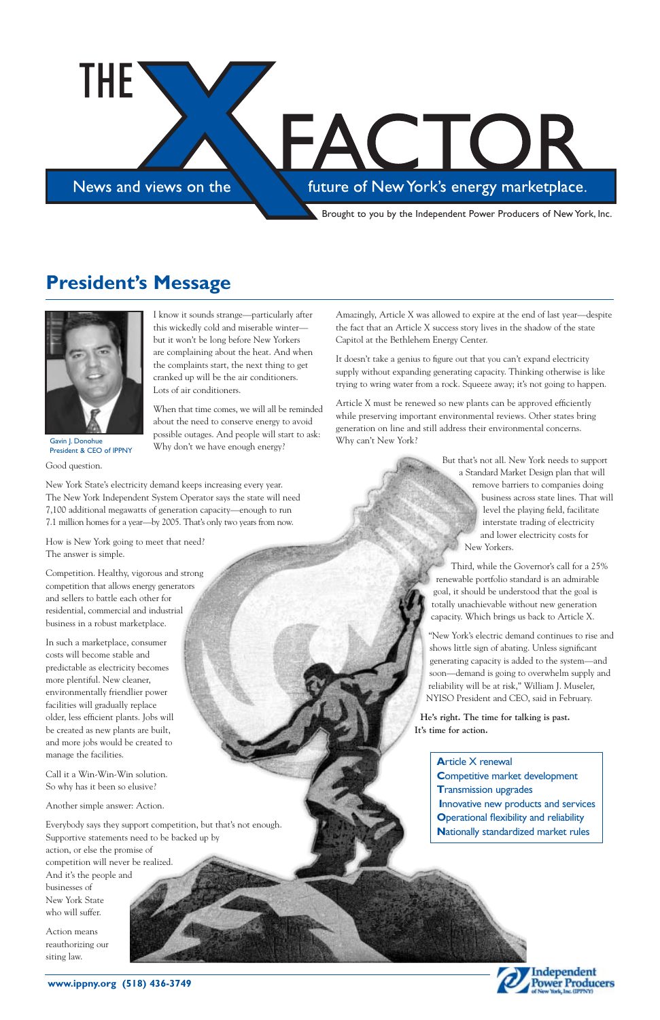News and views on the

THE

#### future of New York's energy marketplace.

FACTOR

#### **www.ippny.org (518) 436-3749**

I know it sounds strange—particularly after this wickedly cold and miserable winter but it won't be long before New Yorkers are complaining about the heat. And when the complaints start, the next thing to get cranked up will be the air conditioners. Lots of air conditioners.

When that time comes, we will all be reminded about the need to conserve energy to avoid possible outages. And people will start to ask: Why don't we have enough energy?

Good question.

New York State's electricity demand keeps increasing every year. The New York Independent System Operator says the state will need 7,100 additional megawatts of generation capacity—enough to run 7.1 million homes for a year—by 2005. That's only two years from now.

How is New York going to meet that need? The answer is simple.

Competition. Healthy, vigorous and strong competition that allows energy generators and sellers to battle each other for residential, commercial and industrial business in a robust marketplace.

In such a marketplace, consumer costs will become stable and predictable as electricity becomes more plentiful. New cleaner, environmentally friendlier power facilities will gradually replace older, less efficient plants. Jobs will be created as new plants are built, and more jobs would be created to

manage the facilities.

Call it a Win-Win-Win solution. So why has it been so elusive?

Another simple answer: Action.

Everybody says they support competition, but that's not enough. Supportive statements need to be backed up by action, or else the promise of competition will never be realized. And it's the people and businesses of New York State who will suffer.

Action means reauthorizing our siting law.

Amazingly, Article X was allowed to expire at the end of last year—despite

the fact that an Article X success story lives in the shadow of the state Capitol at the Bethlehem Energy Center. It doesn't take a genius to figure out that you can't expand electricity

supply without expanding generating capacity. Thinking otherwise is like trying to wring water from a rock. Squeeze away; it's not going to happen.

Article X must be renewed so new plants can be approved efficiently while preserving important environmental reviews. Other states bring generation on line and still address their environmental concerns. Why can't New York?

> But that's not all. New York needs to support a Standard Market Design plan that will remove barriers to companies doing business across state lines. That will level the playing field, facilitate interstate trading of electricity and lower electricity costs for New Yorkers.

Third, while the Governor's call for a 25% renewable portfolio standard is an admirable goal, it should be understood that the goal is totally unachievable without new generation capacity. Which brings us back to Article X.

"New York's electric demand continues to rise and shows little sign of abating. Unless significant generating capacity is added to the system—and soon—demand is going to overwhelm supply and reliability will be at risk," William J. Museler, NYISO President and CEO, said in February.

**He's right. The time for talking is past. It's time for action.**

#### **President's Message**

**A**rticle X renewal **C**ompetitive market development **T**ransmission upgrades **I**nnovative new products and services **O**perational flexibility and reliability **N**ationally standardized market rules





Gavin J. Donohue President & CEO of IPPNY

Brought to you by the Independent Power Producers of New York, Inc.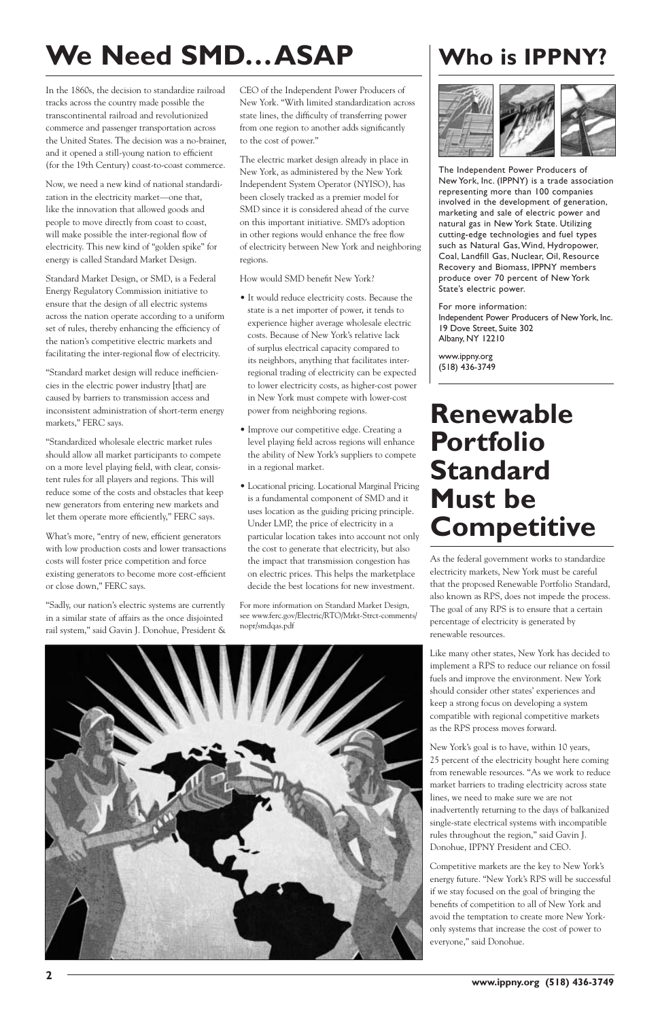In the 1860s, the decision to standardize railroad tracks across the country made possible the transcontinental railroad and revolutionized commerce and passenger transportation across the United States. The decision was a no-brainer, and it opened a still-young nation to efficient (for the 19th Century) coast-to-coast commerce.

Now, we need a new kind of national standardization in the electricity market—one that, like the innovation that allowed goods and people to move directly from coast to coast, will make possible the inter-regional flow of electricity. This new kind of "golden spike" for energy is called Standard Market Design.

Standard Market Design, or SMD, is a Federal Energy Regulatory Commission initiative to ensure that the design of all electric systems across the nation operate according to a uniform set of rules, thereby enhancing the efficiency of the nation's competitive electric markets and facilitating the inter-regional flow of electricity.

"Standard market design will reduce inefficiencies in the electric power industry [that] are caused by barriers to transmission access and inconsistent administration of short-term energy markets," FERC says.

"Standardized wholesale electric market rules should allow all market participants to compete on a more level playing field, with clear, consistent rules for all players and regions. This will reduce some of the costs and obstacles that keep new generators from entering new markets and let them operate more efficiently," FERC says.

What's more, "entry of new, efficient generators with low production costs and lower transactions costs will foster price competition and force existing generators to become more cost-efficient or close down," FERC says.

"Sadly, our nation's electric systems are currently in a similar state of affairs as the once disjointed rail system," said Gavin J. Donohue, President & CEO of the Independent Power Producers of New York. "With limited standardization across state lines, the difficulty of transferring power from one region to another adds significantly to the cost of power."

The electric market design already in place in New York, as administered by the New York Independent System Operator (NYISO), has been closely tracked as a premier model for SMD since it is considered ahead of the curve on this important initiative. SMD's adoption in other regions would enhance the free flow of electricity between New York and neighboring regions.

How would SMD benefit New York?

- It would reduce electricity costs. Because the state is a net importer of power, it tends to experience higher average wholesale electric costs. Because of New York's relative lack of surplus electrical capacity compared to its neighbors, anything that facilitates interregional trading of electricity can be expected to lower electricity costs, as higher-cost power in New York must compete with lower-cost power from neighboring regions.
- Improve our competitive edge. Creating a level playing field across regions will enhance the ability of New York's suppliers to compete in a regional market.
- Locational pricing. Locational Marginal Pricing is a fundamental component of SMD and it uses location as the guiding pricing principle. Under LMP, the price of electricity in a particular location takes into account not only the cost to generate that electricity, but also the impact that transmission congestion has on electric prices. This helps the marketplace decide the best locations for new investment.

For more information on Standard Market Design, see www.ferc.gov/Electric/RTO/Mrkt-Strct-comments/ nopr/smdqas.pdf

# **We Need SMD…ASAP**

The Independent Power Producers of New York, Inc. (IPPNY) is a trade association representing more than 100 companies involved in the development of generation, marketing and sale of electric power and natural gas in New York State. Utilizing cutting-edge technologies and fuel types such as Natural Gas,Wind, Hydropower, Coal, Landfill Gas, Nuclear, Oil, Resource Recovery and Biomass, IPPNY members produce over 70 percent of New York State's electric power.

For more information: Independent Power Producers of New York, Inc. 19 Dove Street, Suite 302 Albany, NY 12210

www.ippny.org (518) 436-3749

#### **Who is IPPNY?**



#### **Renewable Portfolio Standard Must be Competitive**

As the federal government works to standardize electricity markets, New York must be careful that the proposed Renewable Portfolio Standard, also known as RPS, does not impede the process. The goal of any RPS is to ensure that a certain percentage of electricity is generated by renewable resources.

Like many other states, New York has decided to implement a RPS to reduce our reliance on fossil fuels and improve the environment. New York should consider other states' experiences and keep a strong focus on developing a system compatible with regional competitive markets as the RPS process moves forward.

New York's goal is to have, within 10 years, 25 percent of the electricity bought here coming from renewable resources. "As we work to reduce market barriers to trading electricity across state lines, we need to make sure we are not inadvertently returning to the days of balkanized single-state electrical systems with incompatible rules throughout the region," said Gavin J. Donohue, IPPNY President and CEO.



Competitive markets are the key to New York's energy future. "New York's RPS will be successful if we stay focused on the goal of bringing the benefits of competition to all of New York and avoid the temptation to create more New Yorkonly systems that increase the cost of power to everyone," said Donohue.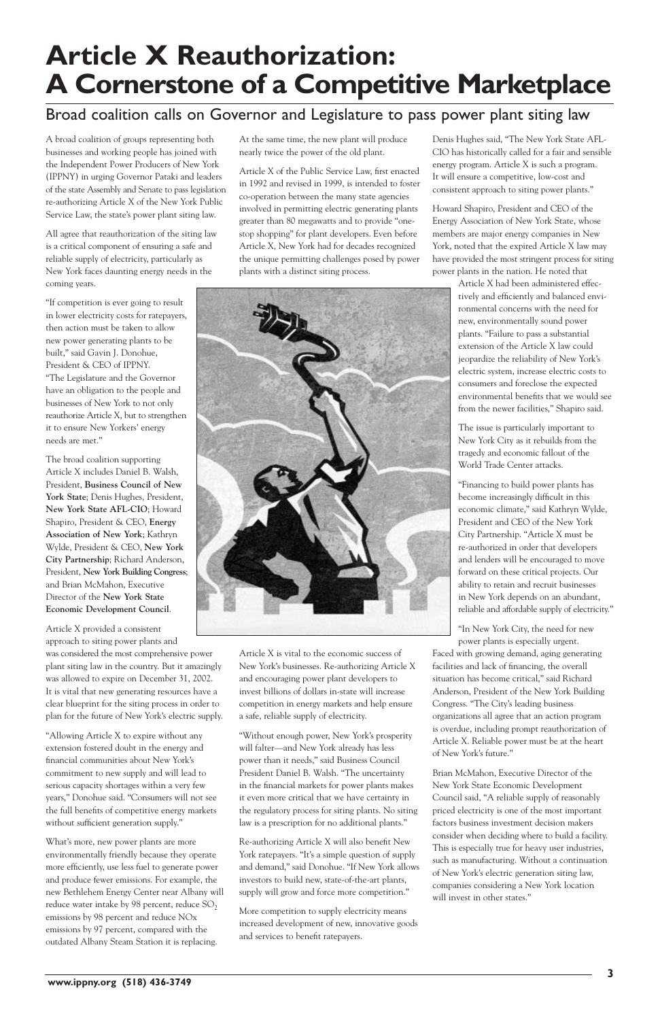A broad coalition of groups representing both businesses and working people has joined with the Independent Power Producers of New York (IPPNY) in urging Governor Pataki and leaders of the state Assembly and Senate to pass legislation re-authorizing Article X of the New York Public Service Law, the state's power plant siting law.

All agree that reauthorization of the siting law is a critical component of ensuring a safe and reliable supply of electricity, particularly as New York faces daunting energy needs in the coming years.

"If competition is ever going to result in lower electricity costs for ratepayers, then action must be taken to allow new power generating plants to be built," said Gavin J. Donohue, President & CEO of IPPNY. "The Legislature and the Governor have an obligation to the people and businesses of New York to not only reauthorize Article X, but to strengthen it to ensure New Yorkers' energy needs are met."

The broad coalition supporting Article X includes Daniel B. Walsh, President, **Business Council of New York State**; Denis Hughes, President, **New York State AFL-CIO**; Howard Shapiro, President & CEO, **Energy Association of New York**; Kathryn Wylde, President & CEO, **New York City Partnership**; Richard Anderson, President, **New York Building Congress**; and Brian McMahon, Executive Director of the **New York State Economic Development Council**.

Article X provided a consistent approach to siting power plants and was considered the most comprehensive power plant siting law in the country. But it amazingly was allowed to expire on December 31, 2002. It is vital that new generating resources have a clear blueprint for the siting process in order to plan for the future of New York's electric supply.

"Allowing Article X to expire without any extension fostered doubt in the energy and financial communities about New York's commitment to new supply and will lead to serious capacity shortages within a very few years," Donohue said. "Consumers will not see the full benefits of competitive energy markets without sufficient generation supply."

What's more, new power plants are more environmentally friendly because they operate more efficiently, use less fuel to generate power and produce fewer emissions. For example, the new Bethlehem Energy Center near Albany will reduce water intake by 98 percent, reduce  $SO<sub>2</sub>$ emissions by 98 percent and reduce NOx emissions by 97 percent, compared with the outdated Albany Steam Station it is replacing.

At the same time, the new plant will produce nearly twice the power of the old plant.

> "In New York City, the need for new power plants is especially urgent. Faced with growing demand, aging generating facilities and lack of financing, the overall situation has become critical," said Richard Anderson, President of the New York Building Congress. "The City's leading business organizations all agree that an action program is overdue, including prompt reauthorization of Article X. Reliable power must be at the heart of New York's future.

Article X of the Public Service Law, first enacted in 1992 and revised in 1999, is intended to foster co-operation between the many state agencies involved in permitting electric generating plants greater than 80 megawatts and to provide "onestop shopping" for plant developers. Even before Article X, New York had for decades recognized the unique permitting challenges posed by power plants with a distinct siting process.



Article X is vital to the economic success of New York's businesses. Re-authorizing Article X and encouraging power plant developers to invest billions of dollars in-state will increase competition in energy markets and help ensure a safe, reliable supply of electricity.

"Without enough power, New York's prosperity will falter—and New York already has less power than it needs," said Business Council President Daniel B. Walsh. "The uncertainty in the financial markets for power plants makes it even more critical that we have certainty in the regulatory process for siting plants. No siting law is a prescription for no additional plants."

Re-authorizing Article X will also benefit New York ratepayers. "It's a simple question of supply and demand," said Donohue. "If New York allows investors to build new, state-of-the-art plants, supply will grow and force more competition."

More competition to supply electricity means increased development of new, innovative goods and services to benefit ratepayers.

Denis Hughes said, "The New York State AFL-CIO has historically called for a fair and sensible energy program. Article X is such a program. It will ensure a competitive, low-cost and consistent approach to siting power plants."

Howard Shapiro, President and CEO of the Energy Association of New York State, whose members are major energy companies in New York, noted that the expired Article X law may have provided the most stringent process for siting power plants in the nation. He noted that

> Article X had been administered effectively and efficiently and balanced environmental concerns with the need for new, environmentally sound power plants. "Failure to pass a substantial extension of the Article X law could jeopardize the reliability of New York's electric system, increase electric costs to consumers and foreclose the expected environmental benefits that we would see from the newer facilities," Shapiro said.

The issue is particularly important to New York City as it rebuilds from the tragedy and economic fallout of the World Trade Center attacks.

"Financing to build power plants has become increasingly difficult in this economic climate," said Kathryn Wylde, President and CEO of the New York City Partnership. "Article X must be re-authorized in order that developers and lenders will be encouraged to move forward on these critical projects. Our ability to retain and recruit businesses in New York depends on an abundant, reliable and affordable supply of electricity."

Brian McMahon, Executive Director of the New York State Economic Development Council said, "A reliable supply of reasonably priced electricity is one of the most important factors business investment decision makers consider when deciding where to build a facility. This is especially true for heavy user industries, such as manufacturing. Without a continuation of New York's electric generation siting law, companies considering a New York location will invest in other states."

### **Article X Reauthorization: A Cornerstone of a Competitive Marketplace**

#### Broad coalition calls on Governor and Legislature to pass power plant siting law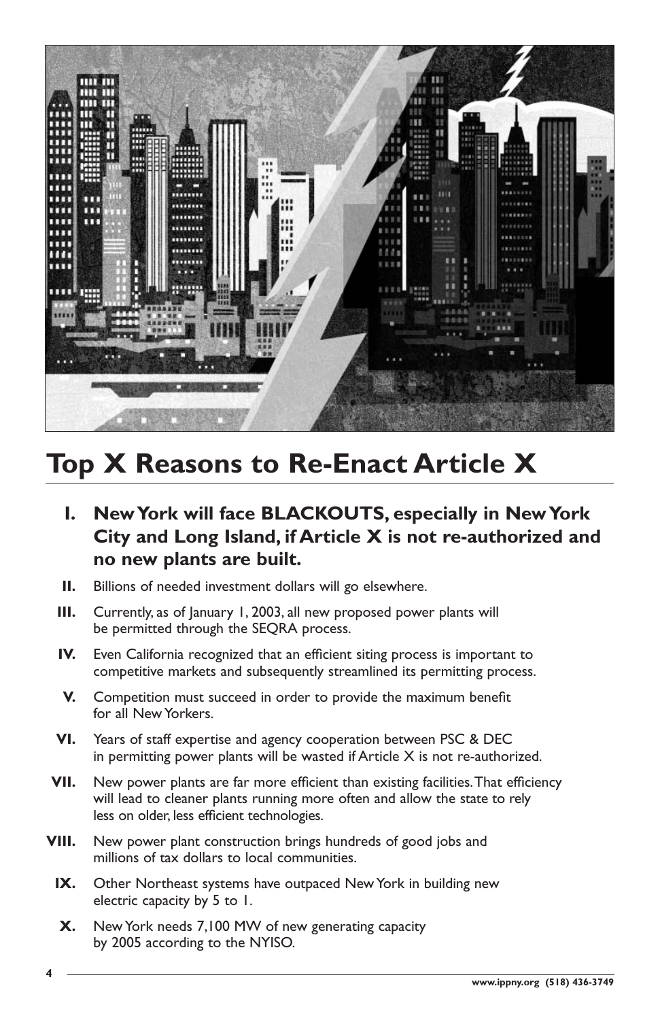**4**

- **I. New York will face BLACKOUTS, especially in New York City and Long Island, if Article X is not re-authorized and no new plants are built.**
- **II.** Billions of needed investment dollars will go elsewhere.
- **III.** Currently, as of January 1, 2003, all new proposed power plants will be permitted through the SEQRA process.
- **IV.** Even California recognized that an efficient siting process is important to competitive markets and subsequently streamlined its permitting process.
- **V.** Competition must succeed in order to provide the maximum benefit for all New Yorkers.
- **VI.** Years of staff expertise and agency cooperation between PSC & DEC

in permitting power plants will be wasted if Article X is not re-authorized.

- **VII.** New power plants are far more efficient than existing facilities.That efficiency will lead to cleaner plants running more often and allow the state to rely less on older, less efficient technologies.
- **VIII.** New power plant construction brings hundreds of good jobs and millions of tax dollars to local communities.
	- **IX.** Other Northeast systems have outpaced New York in building new electric capacity by 5 to 1.
	- **X.** New York needs 7,100 MW of new generating capacity by 2005 according to the NYISO.



# **Top X Reasons to Re-Enact Article X**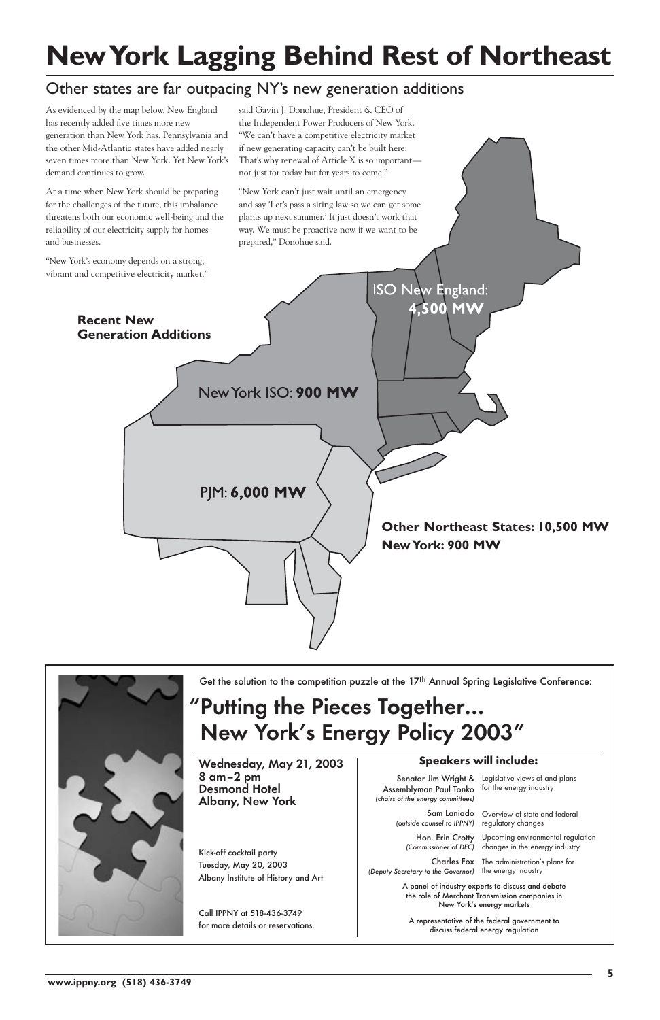**www.ippny.org (518) 436-3749**

**ISO New England:** 4,500 MW **Recent New Generation Additions** New York ISO: 900 MW PJM: 6,000 MW **Other Northeast States: 10,500 MW New York: 900 MW**

![](_page_4_Picture_8.jpeg)

Get the solution to the competition puzzle at the 17<sup>th</sup> Annual Spring Legislative Conference:

As evidenced by the map below, New England has recently added five times more new generation than New York has. Pennsylvania and the other Mid-Atlantic states have added nearly seven times more than New York. Yet New York's demand continues to grow.

At a time when New York should be preparing for the challenges of the future, this imbalance threatens both our economic well-being and the reliability of our electricity supply for homes and businesses.

"New York's economy depends on a strong, vibrant and competitive electricity market,"

> Senator Jim Wright & Legislative views of and plans Assemblyman Paul Tonko (chairs of the energy committees)

said Gavin J. Donohue, President & CEO of the Independent Power Producers of New York. "We can't have a competitive electricity market if new generating capacity can't be built here. That's why renewal of Article X is so important not just for today but for years to come."

> Sam Laniado Overview of state and federal regulatory changes

"New York can't just wait until an emergency and say 'Let's pass a siting law so we can get some plants up next summer.' It just doesn't work that way. We must be proactive now if we want to be prepared," Donohue said.

Wednesday, May 21, 2003 | Speakers will include: 8 am–2 pm Desmond Hotel Albany, New York

# **New York Lagging Behind Rest of Northeast**

#### Other states are far outpacing NY's new generation additions

#### "Putting the Pieces Together… New York's Energy Policy 2003"

(outside counsel to IPPNY)

Hon. Erin Crotty

A panel of industry experts to discuss and debate the role of Merchant Transmission companies in New York's energy markets

(Commissioner of DEC) changes in the energy industry Upcoming environmental regulation

A representative of the federal government to discuss federal energy regulation

Charles Fox The administration's plans for

(Deputy Secretary to the Governor) the energy industry

for the energy industry

Kick-off cocktail party Tuesday, May 20, 2003 Albany Institute of History and Art

Call IPPNY at 518-436-3749 for more details or reservations.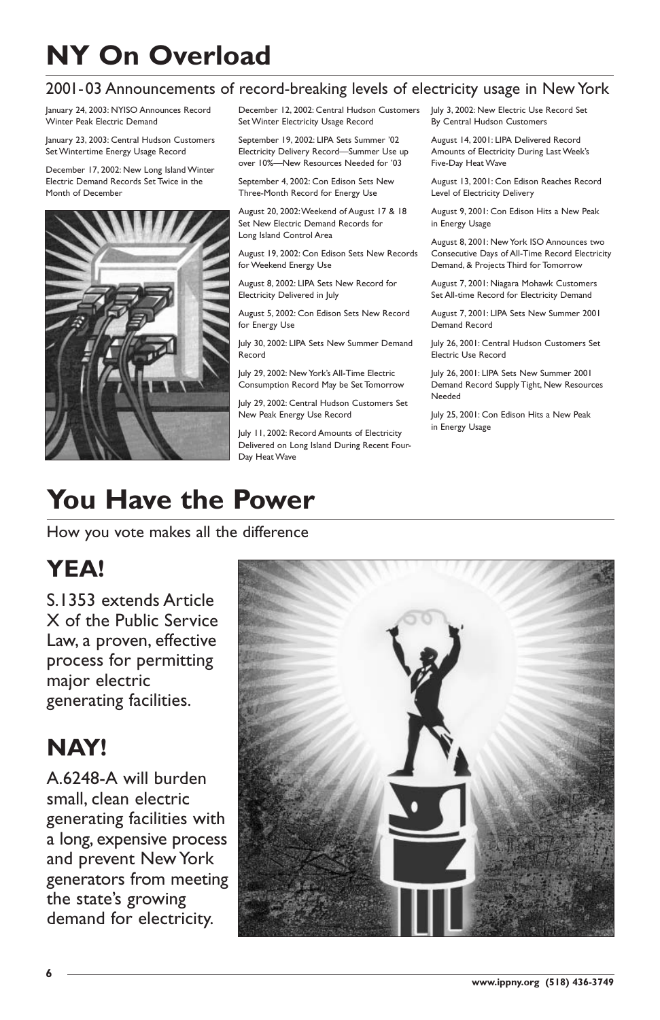### **You Have the Power**

How you vote makes all the difference

#### **YEA!**

S.1353 extends Article X of the Public Service Law, a proven, effective process for permitting major electric generating facilities.

![](_page_5_Picture_31.jpeg)

**NAY!**

A.6248-A will burden small, clean electric generating facilities with a long, expensive process and prevent New York generators from meeting the state's growing demand for electricity.

January 24, 2003: NYISO Announces Record Winter Peak Electric Demand

January 23, 2003: Central Hudson Customers Set Wintertime Energy Usage Record

December 17, 2002: New Long Island Winter Electric Demand Records Set Twice in the Month of December

![](_page_5_Picture_5.jpeg)

December 12, 2002: Central Hudson Customers Set Winter Electricity Usage Record

September 19, 2002: LIPA Sets Summer '02 Electricity Delivery Record—Summer Use up over 10%—New Resources Needed for '03

September 4, 2002: Con Edison Sets New Three-Month Record for Energy Use

August 20, 2002:Weekend of August 17 & 18 Set New Electric Demand Records for Long Island Control Area

August 19, 2002: Con Edison Sets New Records for Weekend Energy Use

August 8, 2002: LIPA Sets New Record for Electricity Delivered in July

August 5, 2002: Con Edison Sets New Record for Energy Use

July 30, 2002: LIPA Sets New Summer Demand Record

July 29, 2002: New York's All-Time Electric Consumption Record May be Set Tomorrow

July 29, 2002: Central Hudson Customers Set New Peak Energy Use Record

July 11, 2002: Record Amounts of Electricity Delivered on Long Island During Recent Four-Day Heat Wave

July 3, 2002: New Electric Use Record Set By Central Hudson Customers

August 14, 2001: LIPA Delivered Record Amounts of Electricity During Last Week's Five-Day Heat Wave

August 13, 2001: Con Edison Reaches Record Level of Electricity Delivery

August 9, 2001: Con Edison Hits a New Peak in Energy Usage

August 8, 2001: New York ISO Announces two Consecutive Days of All-Time Record Electricity Demand, & Projects Third for Tomorrow

August 7, 2001: Niagara Mohawk Customers Set All-time Record for Electricity Demand

August 7, 2001: LIPA Sets New Summer 2001 Demand Record

July 26, 2001: Central Hudson Customers Set Electric Use Record

July 26, 2001: LIPA Sets New Summer 2001 Demand Record Supply Tight, New Resources Needed

July 25, 2001: Con Edison Hits a New Peak in Energy Usage

# **NY On Overload**

#### 2001-03 Announcements of record-breaking levels of electricity usage in New York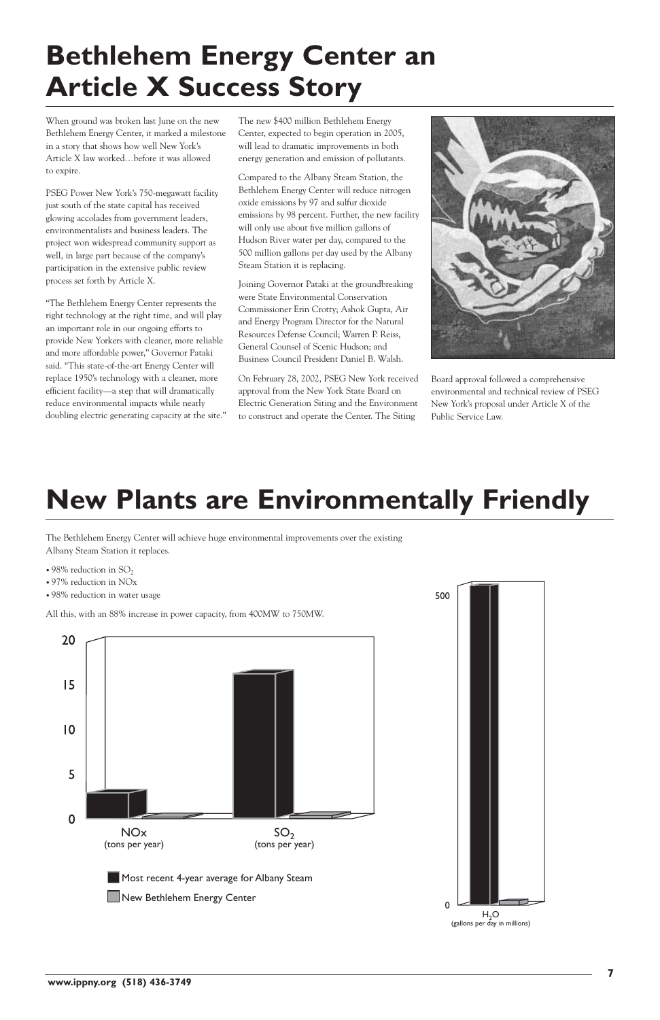**7**

**www.ippny.org (518) 436-3749**

When ground was broken last June on the new Bethlehem Energy Center, it marked a milestone in a story that shows how well New York's Article X law worked…before it was allowed to expire.

PSEG Power New York's 750-megawatt facility just south of the state capital has received glowing accolades from government leaders, environmentalists and business leaders. The project won widespread community support as well, in large part because of the company's participation in the extensive public review process set forth by Article X.

"The Bethlehem Energy Center represents the right technology at the right time, and will play an important role in our ongoing efforts to provide New Yorkers with cleaner, more reliable and more affordable power," Governor Pataki said. "This state-of-the-art Energy Center will replace 1950's technology with a cleaner, more efficient facility—a step that will dramatically reduce environmental impacts while nearly doubling electric generating capacity at the site." The new \$400 million Bethlehem Energy Center, expected to begin operation in 2005, will lead to dramatic improvements in both energy generation and emission of pollutants.

- 98% reduction in  $SO<sub>2</sub>$
- 97% reduction in NOx
- 98% reduction in water usage

Compared to the Albany Steam Station, the Bethlehem Energy Center will reduce nitrogen oxide emissions by 97 and sulfur dioxide emissions by 98 percent. Further, the new facility will only use about five million gallons of Hudson River water per day, compared to the 500 million gallons per day used by the Albany Steam Station it is replacing.

Joining Governor Pataki at the groundbreaking were State Environmental Conservation Commissioner Erin Crotty; Ashok Gupta, Air and Energy Program Director for the Natural Resources Defense Council; Warren P. Reiss, General Counsel of Scenic Hudson; and Business Council President Daniel B. Walsh.

On February 28, 2002, PSEG New York received approval from the New York State Board on Electric Generation Siting and the Environment to construct and operate the Center. The Siting

![](_page_6_Picture_8.jpeg)

Board approval followed a comprehensive environmental and technical review of PSEG New York's proposal under Article X of the Public Service Law.

The Bethlehem Energy Center will achieve huge environmental improvements over the existing Albany Steam Station it replaces.

All this, with an 88% increase in power capacity, from 400MW to 750MW.

![](_page_6_Figure_16.jpeg)

### **New Plants are Environmentally Friendly**

# **Bethlehem Energy Center an Article X Success Story**

![](_page_6_Figure_18.jpeg)

![](_page_6_Picture_17.jpeg)

![](_page_6_Figure_19.jpeg)